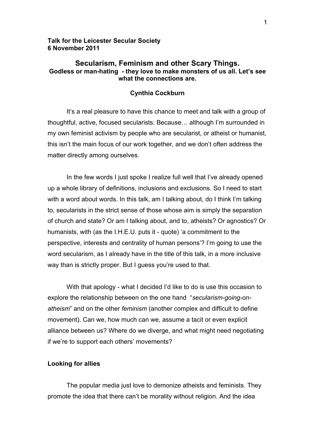# **Talk for the Leicester Secular Society 6 November 2011**

# **Secularism, Feminism and other Scary Things. Godless or man-hating - they love to make monsters of us all. Let's see what the connections are.**

## **Cynthia Cockburn**

It's a real pleasure to have this chance to meet and talk with a group of thoughtful, active, focused secularists. Because… although I'm surrounded in my own feminist activism by people who are secularist, or atheist or humanist, this isn't the main focus of our work together, and we don't often address the matter directly among ourselves.

In the few words I just spoke I realize full well that I've already opened up a whole library of definitions, inclusions and exclusions. So I need to start with a word about words. In this talk, am I talking about, do I think I'm talking to, secularists in the strict sense of those whose aim is simply the separation of church and state? Or am I talking about, and to, atheists? Or agnostics? Or humanists, with (as the I.H.E.U. puts it - quote) 'a commitment to the perspective, interests and centrality of human persons'? I'm going to use the word secularism, as I already have in the title of this talk, in a more inclusive way than is strictly proper. But I guess you're used to that.

With that apology - what I decided I'd like to do is use this occasion to explore the relationship between on the one hand "*secularism-going-onatheism*" and on the other *feminism* (another complex and difficult to define movement). Can we, how much can we, assume a tacit or even explicit alliance between us? Where do we diverge, and what might need negotiating if we're to support each others' movements?

## **Looking for allies**

The popular media just love to demonize atheists and feminists. They promote the idea that there can't be morality without religion. And the idea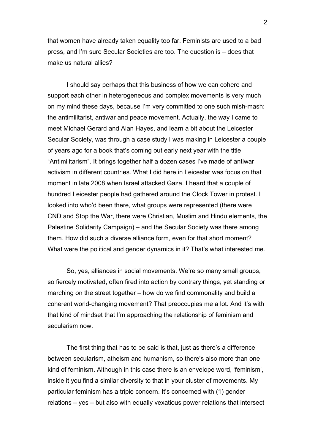that women have already taken equality too far. Feminists are used to a bad press, and I'm sure Secular Societies are too. The question is – does that make us natural allies?

I should say perhaps that this business of how we can cohere and support each other in heterogeneous and complex movements is very much on my mind these days, because I'm very committed to one such mish-mash: the antimilitarist, antiwar and peace movement. Actually, the way I came to meet Michael Gerard and Alan Hayes, and learn a bit about the Leicester Secular Society, was through a case study I was making in Leicester a couple of years ago for a book that's coming out early next year with the title "Antimilitarism". It brings together half a dozen cases I've made of antiwar activism in different countries. What I did here in Leicester was focus on that moment in late 2008 when Israel attacked Gaza. I heard that a couple of hundred Leicester people had gathered around the Clock Tower in protest. I looked into who'd been there, what groups were represented (there were CND and Stop the War, there were Christian, Muslim and Hindu elements, the Palestine Solidarity Campaign) – and the Secular Society was there among them. How did such a diverse alliance form, even for that short moment? What were the political and gender dynamics in it? That's what interested me.

So, yes, alliances in social movements. We're so many small groups, so fiercely motivated, often fired into action by contrary things, yet standing or marching on the street together – how do we find commonality and build a coherent world-changing movement? That preoccupies me a lot. And it's with that kind of mindset that I'm approaching the relationship of feminism and secularism now.

The first thing that has to be said is that, just as there's a difference between secularism, atheism and humanism, so there's also more than one kind of feminism. Although in this case there is an envelope word, 'feminism', inside it you find a similar diversity to that in your cluster of movements. My particular feminism has a triple concern. It's concerned with (1) gender relations – yes – but also with equally vexatious power relations that intersect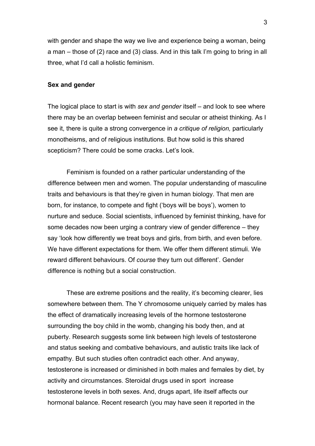with gender and shape the way we live and experience being a woman, being a man – those of (2) race and (3) class. And in this talk I'm going to bring in all three, what I'd call a holistic feminism.

#### **Sex and gender**

The logical place to start is with *sex and gender* itself – and look to see where there may be an overlap between feminist and secular or atheist thinking. As I see it, there is quite a strong convergence in *a critique of religion,* particularly monotheisms, and of religious institutions. But how solid is this shared scepticism? There could be some cracks. Let's look.

Feminism is founded on a rather particular understanding of the difference between men and women. The popular understanding of masculine traits and behaviours is that they're given in human biology. That men are born, for instance, to compete and fight ('boys will be boys'), women to nurture and seduce. Social scientists, influenced by feminist thinking, have for some decades now been urging a contrary view of gender difference – they say 'look how differently we treat boys and girls, from birth, and even before. We have different expectations for them. We offer them different stimuli. We reward different behaviours. Of *course* they turn out different'. Gender difference is nothing but a social construction.

These are extreme positions and the reality, it's becoming clearer, lies somewhere between them. The Y chromosome uniquely carried by males has the effect of dramatically increasing levels of the hormone testosterone surrounding the boy child in the womb, changing his body then, and at puberty. Research suggests some link between high levels of testosterone and status seeking and combative behaviours, and autistic traits like lack of empathy. But such studies often contradict each other. And anyway, testosterone is increased or diminished in both males and females by diet, by activity and circumstances. Steroidal drugs used in sport increase testosterone levels in both sexes. And, drugs apart, life itself affects our hormonal balance. Recent research (you may have seen it reported in the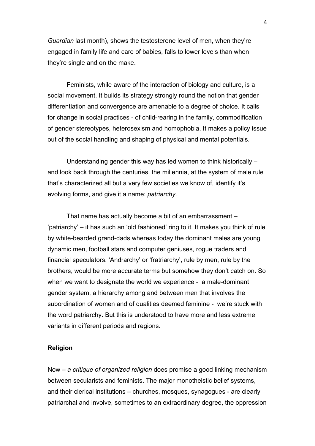*Guardian* last month), shows the testosterone level of men, when they're engaged in family life and care of babies, falls to lower levels than when they're single and on the make.

Feminists, while aware of the interaction of biology and culture, is a social movement. It builds its strategy strongly round the notion that gender differentiation and convergence are amenable to a degree of choice. It calls for change in social practices - of child-rearing in the family, commodification of gender stereotypes, heterosexism and homophobia. It makes a policy issue out of the social handling and shaping of physical and mental potentials.

Understanding gender this way has led women to think historically – and look back through the centuries, the millennia, at the system of male rule that's characterized all but a very few societies we know of, identify it's evolving forms, and give it a name: *patriarchy.* 

That name has actually become a bit of an embarrassment – 'patriarchy' – it has such an 'old fashioned' ring to it. It makes you think of rule by white-bearded grand-dads whereas today the dominant males are young dynamic men, football stars and computer geniuses, rogue traders and financial speculators. 'Andrarchy' or 'fratriarchy', rule by men, rule by the brothers, would be more accurate terms but somehow they don't catch on. So when we want to designate the world we experience - a male-dominant gender system, a hierarchy among and between men that involves the subordination of women and of qualities deemed feminine - we're stuck with the word patriarchy. But this is understood to have more and less extreme variants in different periods and regions.

#### **Religion**

Now – *a critique of organized religion* does promise a good linking mechanism between secularists and feminists. The major monotheistic belief systems, and their clerical institutions – churches, mosques, synagogues - are clearly patriarchal and involve, sometimes to an extraordinary degree, the oppression

4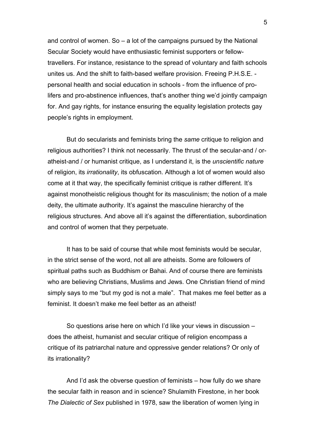and control of women. So – a lot of the campaigns pursued by the National Secular Society would have enthusiastic feminist supporters or fellowtravellers. For instance, resistance to the spread of voluntary and faith schools unites us. And the shift to faith-based welfare provision. Freeing P.H.S.E. personal health and social education in schools - from the influence of prolifers and pro-abstinence influences, that's another thing we'd jointly campaign for. And gay rights, for instance ensuring the equality legislation protects gay people's rights in employment.

But do secularists and feminists bring the *same* critique to religion and religious authorities? I think not necessarily. The thrust of the secular-and / oratheist-and / or humanist critique, as I understand it, is the *unscientific nature* of religion, its *irrationality*, its obfuscation. Although a lot of women would also come at it that way, the specifically feminist critique is rather different. It's against monotheistic religious thought for its masculinism; the notion of a male deity, the ultimate authority. It's against the masculine hierarchy of the religious structures. And above all it's against the differentiation, subordination and control of women that they perpetuate.

It has to be said of course that while most feminists would be secular, in the strict sense of the word, not all are atheists. Some are followers of spiritual paths such as Buddhism or Bahai. And of course there are feminists who are believing Christians, Muslims and Jews. One Christian friend of mind simply says to me "but my god is not a male". That makes me feel better as a feminist. It doesn't make me feel better as an atheist!

So questions arise here on which I'd like your views in discussion – does the atheist, humanist and secular critique of religion encompass a critique of its patriarchal nature and oppressive gender relations? Or only of its irrationality?

And I'd ask the obverse question of feminists – how fully do we share the secular faith in reason and in science? Shulamith Firestone, in her book *The Dialectic of Sex* published in 1978, saw the liberation of women lying in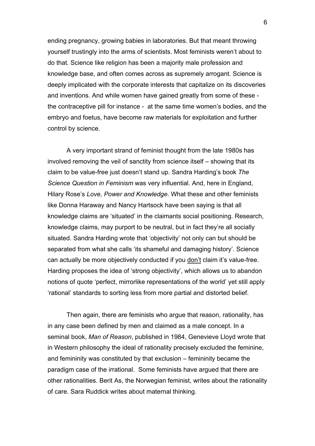ending pregnancy, growing babies in laboratories. But that meant throwing yourself trustingly into the arms of scientists. Most feminists weren't about to do that. Science like religion has been a majority male profession and knowledge base, and often comes across as supremely arrogant. Science is deeply implicated with the corporate interests that capitalize on its discoveries and inventions. And while women have gained greatly from some of these the contraceptive pill for instance - at the same time women's bodies, and the embryo and foetus, have become raw materials for exploitation and further control by science.

A very important strand of feminist thought from the late 1980s has involved removing the veil of sanctity from science itself – showing that its claim to be value-free just doesn't stand up. Sandra Harding's book *The Science Question in Feminism* was very influential. And, here in England, Hilary Rose's *Love, Power and Knowledge*. What these and other feminists like Donna Haraway and Nancy Hartsock have been saying is that all knowledge claims are 'situated' in the claimants social positioning. Research, knowledge claims, may purport to be neutral, but in fact they're all socially situated. Sandra Harding wrote that 'objectivity' not only can but should be separated from what she calls 'its shameful and damaging history'. Science can actually be more objectively conducted if you don't claim it's value-free. Harding proposes the idea of 'strong objectivity', which allows us to abandon notions of quote 'perfect, mirrorlike representations of the world' yet still apply 'rational' standards to sorting less from more partial and distorted belief.

Then again, there are feminists who argue that reason, rationality, has in any case been defined by men and claimed as a male concept. In a seminal book, *Man of Reason*, published in 1984, Genevieve Lloyd wrote that in Western philosophy the ideal of rationality precisely excluded the feminine, and femininity was constituted by that exclusion – femininity became the paradigm case of the irrational. Some feminists have argued that there are other rationalities. Berit As, the Norwegian feminist, writes about the rationality of care. Sara Ruddick writes about maternal thinking.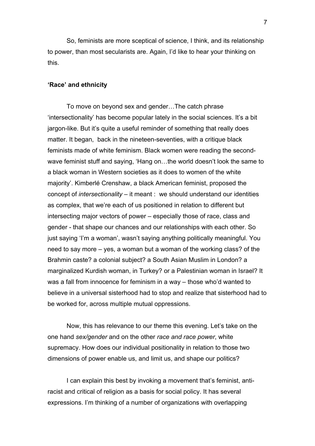So, feminists are more sceptical of science, I think, and its relationship to power, than most secularists are. Again, I'd like to hear your thinking on this.

#### **'Race' and ethnicity**

To move on beyond sex and gender…The catch phrase 'intersectionality' has become popular lately in the social sciences. It's a bit jargon-like. But it's quite a useful reminder of something that really does matter. It began, back in the nineteen-seventies, with a critique black feminists made of white feminism. Black women were reading the secondwave feminist stuff and saying, 'Hang on…the world doesn't look the same to a black woman in Western societies as it does to women of the white majority'. Kimberlé Crenshaw, a black American feminist, proposed the concept of *intersectionality* – it meant : we should understand our identities as complex, that we're each of us positioned in relation to different but intersecting major vectors of power – especially those of race, class and gender - that shape our chances and our relationships with each other. So just saying 'I'm a woman', wasn't saying anything politically meaningful. You need to say more – yes, a woman but a woman of the working class? of the Brahmin caste? a colonial subject? a South Asian Muslim in London? a marginalized Kurdish woman, in Turkey? or a Palestinian woman in Israel? It was a fall from innocence for feminism in a way – those who'd wanted to believe in a universal sisterhood had to stop and realize that sisterhood had to be worked for, across multiple mutual oppressions.

Now, this has relevance to our theme this evening. Let's take on the one hand *sex/gender* and on the other *race and race power*, white supremacy. How does our individual positionality in relation to those two dimensions of power enable us, and limit us, and shape our politics?

I can explain this best by invoking a movement that's feminist, antiracist and critical of religion as a basis for social policy. It has several expressions. I'm thinking of a number of organizations with overlapping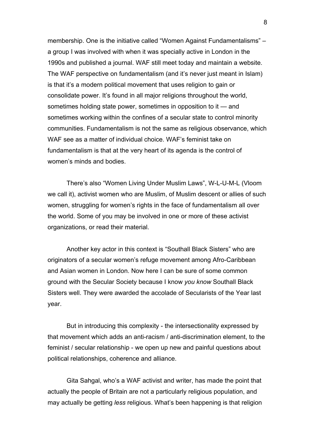membership. One is the initiative called "Women Against Fundamentalisms" – a group I was involved with when it was specially active in London in the 1990s and published a journal. WAF still meet today and maintain a website. The WAF perspective on fundamentalism (and it's never just meant in Islam) is that it's a modern political movement that uses religion to gain or consolidate power. It's found in all major religions throughout the world, sometimes holding state power, sometimes in opposition to it — and sometimes working within the confines of a secular state to control minority communities. Fundamentalism is not the same as religious observance, which WAF see as a matter of individual choice. WAF's feminist take on fundamentalism is that at the very heart of its agenda is the control of women's minds and bodies.

There's also "Women Living Under Muslim Laws", W-L-U-M-L (Vloom we call it), activist women who are Muslim, of Muslim descent or allies of such women, struggling for women's rights in the face of fundamentalism all over the world. Some of you may be involved in one or more of these activist organizations, or read their material.

Another key actor in this context is "Southall Black Sisters" who are originators of a secular women's refuge movement among Afro-Caribbean and Asian women in London. Now here I can be sure of some common ground with the Secular Society because I know *you know* Southall Black Sisters well. They were awarded the accolade of Secularists of the Year last year.

But in introducing this complexity - the intersectionality expressed by that movement which adds an anti-racism / anti-discrimination element, to the feminist / secular relationship - we open up new and painful questions about political relationships, coherence and alliance.

Gita Sahgal, who's a WAF activist and writer, has made the point that actually the people of Britain are not a particularly religious population, and may actually be getting *less* religious. What's been happening is that religion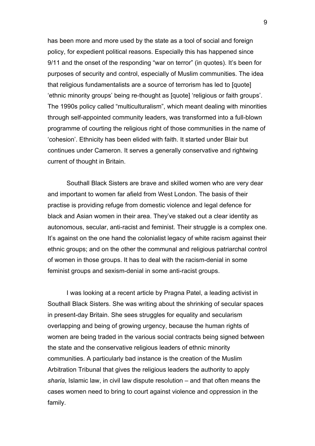has been more and more used by the state as a tool of social and foreign policy, for expedient political reasons. Especially this has happened since 9/11 and the onset of the responding "war on terror" (in quotes). It's been for purposes of security and control, especially of Muslim communities. The idea that religious fundamentalists are a source of terrorism has led to [quote] 'ethnic minority groups' being re-thought as [quote] 'religious or faith groups'. The 1990s policy called "multiculturalism", which meant dealing with minorities through self-appointed community leaders, was transformed into a full-blown programme of courting the religious right of those communities in the name of 'cohesion'. Ethnicity has been elided with faith. It started under Blair but continues under Cameron. It serves a generally conservative and rightwing current of thought in Britain.

Southall Black Sisters are brave and skilled women who are very dear and important to women far afield from West London. The basis of their practise is providing refuge from domestic violence and legal defence for black and Asian women in their area. They've staked out a clear identity as autonomous, secular, anti-racist and feminist. Their struggle is a complex one. It's against on the one hand the colonialist legacy of white racism against their ethnic groups; and on the other the communal and religious patriarchal control of women in those groups. It has to deal with the racism-denial in some feminist groups and sexism-denial in some anti-racist groups.

I was looking at a recent article by Pragna Patel, a leading activist in Southall Black Sisters. She was writing about the shrinking of secular spaces in present-day Britain. She sees struggles for equality and secularism overlapping and being of growing urgency, because the human rights of women are being traded in the various social contracts being signed between the state and the conservative religious leaders of ethnic minority communities. A particularly bad instance is the creation of the Muslim Arbitration Tribunal that gives the religious leaders the authority to apply *sharia*, Islamic law, in civil law dispute resolution – and that often means the cases women need to bring to court against violence and oppression in the family.

9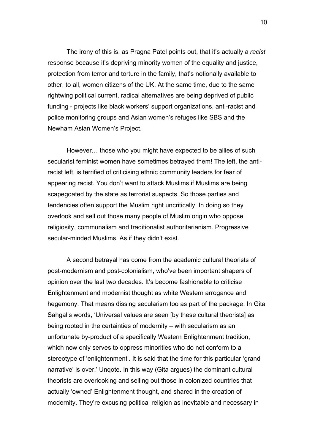The irony of this is, as Pragna Patel points out, that it's actually a *racist*  response because it's depriving minority women of the equality and justice, protection from terror and torture in the family, that's notionally available to other, to all, women citizens of the UK. At the same time, due to the same rightwing political current, radical alternatives are being deprived of public funding - projects like black workers' support organizations, anti-racist and police monitoring groups and Asian women's refuges like SBS and the Newham Asian Women's Project.

However… those who you might have expected to be allies of such secularist feminist women have sometimes betrayed them! The left, the antiracist left, is terrified of criticising ethnic community leaders for fear of appearing racist. You don't want to attack Muslims if Muslims are being scapegoated by the state as terrorist suspects. So those parties and tendencies often support the Muslim right uncritically. In doing so they overlook and sell out those many people of Muslim origin who oppose religiosity, communalism and traditionalist authoritarianism. Progressive secular-minded Muslims. As if they didn't exist.

A second betrayal has come from the academic cultural theorists of post-modernism and post-colonialism, who've been important shapers of opinion over the last two decades. It's become fashionable to criticise Enlightenment and modernist thought as white Western arrogance and hegemony. That means dissing secularism too as part of the package. In Gita Sahgal's words, 'Universal values are seen [by these cultural theorists] as being rooted in the certainties of modernity – with secularism as an unfortunate by-product of a specifically Western Enlightenment tradition, which now only serves to oppress minorities who do not conform to a stereotype of 'enlightenment'. It is said that the time for this particular 'grand narrative' is over.' Unqote. In this way (Gita argues) the dominant cultural theorists are overlooking and selling out those in colonized countries that actually 'owned' Enlightenment thought, and shared in the creation of modernity. They're excusing political religion as inevitable and necessary in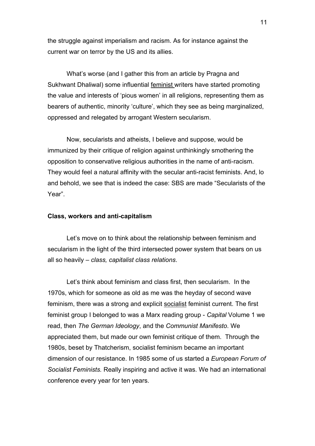the struggle against imperialism and racism. As for instance against the current war on terror by the US and its allies.

What's worse (and I gather this from an article by Pragna and Sukhwant Dhaliwal) some influential feminist writers have started promoting the value and interests of 'pious women' in all religions, representing them as bearers of authentic, minority 'culture', which they see as being marginalized, oppressed and relegated by arrogant Western secularism.

Now, secularists and atheists, I believe and suppose, would be immunized by their critique of religion against unthinkingly smothering the opposition to conservative religious authorities in the name of anti-racism. They would feel a natural affinity with the secular anti-racist feminists. And, lo and behold, we see that is indeed the case: SBS are made "Secularists of the Year".

#### **Class, workers and anti-capitalism**

Let's move on to think about the relationship between feminism and secularism in the light of the third intersected power system that bears on us all so heavily – *class, capitalist class relations*.

Let's think about feminism and class first, then secularism. In the 1970s, which for someone as old as me was the heyday of second wave feminism, there was a strong and explicit socialist feminist current. The first feminist group I belonged to was a Marx reading group - *Capital* Volume 1 we read, then *The German Ideology*, and the *Communist Manifesto*. We appreciated them, but made our own feminist critique of them. Through the 1980s, beset by Thatcherism, socialist feminism became an important dimension of our resistance. In 1985 some of us started a *European Forum of Socialist Feminists.* Really inspiring and active it was. We had an international conference every year for ten years.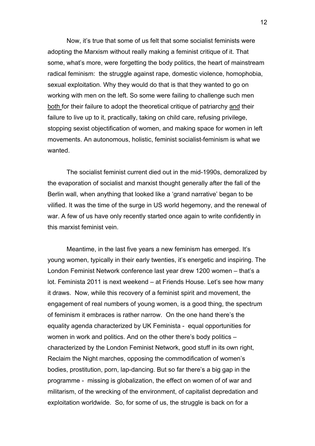Now, it's true that some of us felt that some socialist feminists were adopting the Marxism without really making a feminist critique of it. That some, what's more, were forgetting the body politics, the heart of mainstream radical feminism: the struggle against rape, domestic violence, homophobia, sexual exploitation. Why they would do that is that they wanted to go on working with men on the left. So some were failing to challenge such men both for their failure to adopt the theoretical critique of patriarchy and their failure to live up to it, practically, taking on child care, refusing privilege, stopping sexist objectification of women, and making space for women in left movements. An autonomous, holistic, feminist socialist-feminism is what we wanted.

The socialist feminist current died out in the mid-1990s, demoralized by the evaporation of socialist and marxist thought generally after the fall of the Berlin wall, when anything that looked like a 'grand narrative' began to be vilified. It was the time of the surge in US world hegemony, and the renewal of war. A few of us have only recently started once again to write confidently in this marxist feminist vein.

Meantime, in the last five years a new feminism has emerged. It's young women, typically in their early twenties, it's energetic and inspiring. The London Feminist Network conference last year drew 1200 women – that's a lot. Feminista 2011 is next weekend – at Friends House. Let's see how many it draws. Now, while this recovery of a feminist spirit and movement, the engagement of real numbers of young women, is a good thing, the spectrum of feminism it embraces is rather narrow. On the one hand there's the equality agenda characterized by UK Feminista - equal opportunities for women in work and politics. And on the other there's body politics – characterized by the London Feminist Network, good stuff in its own right, Reclaim the Night marches, opposing the commodification of women's bodies, prostitution, porn, lap-dancing. But so far there's a big gap in the programme - missing is globalization, the effect on women of of war and militarism, of the wrecking of the environment, of capitalist depredation and exploitation worldwide. So, for some of us, the struggle is back on for a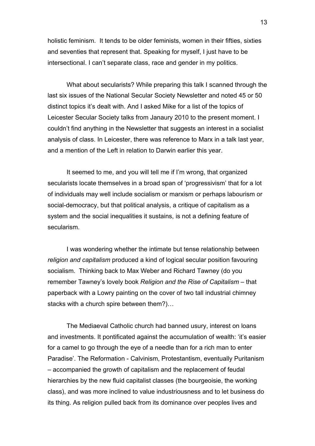holistic feminism. It tends to be older feminists, women in their fifties, sixties and seventies that represent that. Speaking for myself, I just have to be intersectional. I can't separate class, race and gender in my politics.

What about secularists? While preparing this talk I scanned through the last six issues of the National Secular Society Newsletter and noted 45 or 50 distinct topics it's dealt with. And I asked Mike for a list of the topics of Leicester Secular Society talks from Janaury 2010 to the present moment. I couldn't find anything in the Newsletter that suggests an interest in a socialist analysis of class. In Leicester, there was reference to Marx in a talk last year, and a mention of the Left in relation to Darwin earlier this year.

It seemed to me, and you will tell me if I'm wrong, that organized secularists locate themselves in a broad span of 'progressivism' that for a lot of individuals may well include socialism or marxism or perhaps labourism or social-democracy, but that political analysis, a critique of capitalism as a system and the social inequalities it sustains, is not a defining feature of secularism.

I was wondering whether the intimate but tense relationship between *religion and capitalism* produced a kind of logical secular position favouring socialism. Thinking back to Max Weber and Richard Tawney (do you remember Tawney's lovely book *Religion and the Rise of Capitalism* – that paperback with a Lowry painting on the cover of two tall industrial chimney stacks with a church spire between them?)…

The Mediaeval Catholic church had banned usury, interest on loans and investments. It pontificated against the accumulation of wealth: 'it's easier for a camel to go through the eye of a needle than for a rich man to enter Paradise'. The Reformation - Calvinism, Protestantism, eventually Puritanism – accompanied the growth of capitalism and the replacement of feudal hierarchies by the new fluid capitalist classes (the bourgeoisie, the working class), and was more inclined to value industriousness and to let business do its thing. As religion pulled back from its dominance over peoples lives and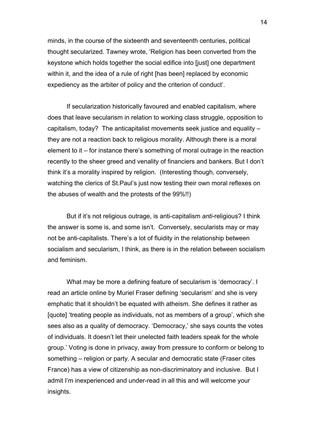minds, in the course of the sixteenth and seventeenth centuries, political thought secularized. Tawney wrote, 'Religion has been converted from the keystone which holds together the social edifice into [just] one department within it, and the idea of a rule of right [has been] replaced by economic expediency as the arbiter of policy and the criterion of conduct'.

If secularization historically favoured and enabled capitalism, where does that leave secularism in relation to working class struggle, opposition to capitalism, today? The anticapitalist movements seek justice and equality – they are not a reaction back to religious morality. Although there is a moral element to it – for instance there's something of moral outrage in the reaction recently to the sheer greed and venality of financiers and bankers. But I don't think it's a morality inspired by religion. (Interesting though, conversely, watching the clerics of St.Paul's just now testing their own moral reflexes on the abuses of wealth and the protests of the 99%!!)

But if it's not religious outrage, is anti-capitalism *anti*-religious? I think the answer is some is, and some isn't. Conversely, secularists may or may not be anti-capitalists. There's a lot of fluidity in the relationship between socialism and secularism, I think, as there is in the relation between socialism and feminism.

What may be more a defining feature of secularism is 'democracy'. I read an article online by Muriel Fraser defining 'secularism' and she is very emphatic that it shouldn't be equated with atheism. She defines it rather as [quote] 'treating people as individuals, not as members of a group', which she sees also as a quality of democracy. 'Democracy,' she says counts the votes of individuals. It doesn't let their unelected faith leaders speak for the whole group.' Voting is done in privacy, away from pressure to conform or belong to something – religion or party. A secular and democratic state (Fraser cites France) has a view of citizenship as non-discriminatory and inclusive. But I admit I'm inexperienced and under-read in all this and will welcome your insights.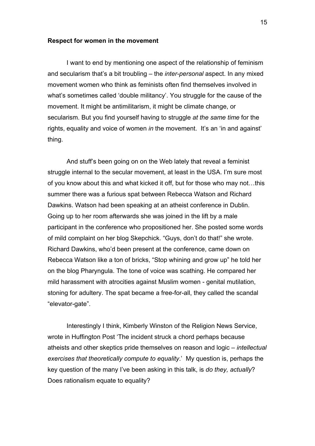#### **Respect for women in the movement**

I want to end by mentioning one aspect of the relationship of feminism and secularism that's a bit troubling – the *inter-personal* aspect. In any mixed movement women who think as feminists often find themselves involved in what's sometimes called 'double militancy'. You struggle for the cause of the movement. It might be antimilitarism, it might be climate change, or secularism. But you find yourself having to struggle *at the same time* for the rights, equality and voice of women *in* the movement. It's an 'in and against' thing.

And stuff's been going on on the Web lately that reveal a feminist struggle internal to the secular movement, at least in the USA. I'm sure most of you know about this and what kicked it off, but for those who may not…this summer there was a furious spat between Rebecca Watson and Richard Dawkins. Watson had been speaking at an atheist conference in Dublin. Going up to her room afterwards she was joined in the lift by a male participant in the conference who propositioned her. She posted some words of mild complaint on her blog Skepchick. "Guys, don't do that!" she wrote. Richard Dawkins, who'd been present at the conference, came down on Rebecca Watson like a ton of bricks, "Stop whining and grow up" he told her on the blog Pharyngula. The tone of voice was scathing. He compared her mild harassment with atrocities against Muslim women - genital mutilation, stoning for adultery. The spat became a free-for-all, they called the scandal "elevator-gate".

Interestingly I think, Kimberly Winston of the Religion News Service, wrote in Huffington Post 'The incident struck a chord perhaps because atheists and other skeptics pride themselves on reason and logic – *intellectual exercises that theoretically compute to equality*.' My question is, perhaps the key question of the many I've been asking in this talk, is *do they, actually*? Does rationalism equate to equality?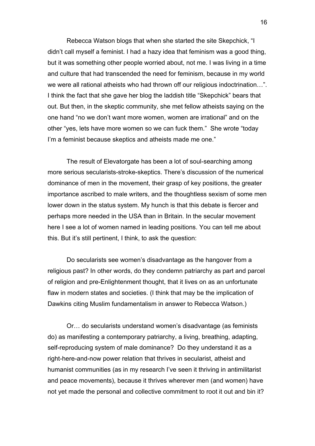Rebecca Watson blogs that when she started the site Skepchick, "I didn't call myself a feminist. I had a hazy idea that feminism was a good thing, but it was something other people worried about, not me. I was living in a time and culture that had transcended the need for feminism, because in my world we were all rational atheists who had thrown off our religious indoctrination…". I think the fact that she gave her blog the laddish title "Skepchick" bears that out. But then, in the skeptic community, she met fellow atheists saying on the one hand "no we don't want more women, women are irrational" and on the other "yes, lets have more women so we can fuck them." She wrote "today I'm a feminist because skeptics and atheists made me one."

The result of Elevatorgate has been a lot of soul-searching among more serious secularists-stroke-skeptics. There's discussion of the numerical dominance of men in the movement, their grasp of key positions, the greater importance ascribed to male writers, and the thoughtless sexism of some men lower down in the status system. My hunch is that this debate is fiercer and perhaps more needed in the USA than in Britain. In the secular movement here I see a lot of women named in leading positions. You can tell me about this. But it's still pertinent, I think, to ask the question:

Do secularists see women's disadvantage as the hangover from a religious past? In other words, do they condemn patriarchy as part and parcel of religion and pre-Enlightenment thought, that it lives on as an unfortunate flaw in modern states and societies. (I think that may be the implication of Dawkins citing Muslim fundamentalism in answer to Rebecca Watson.)

Or… do secularists understand women's disadvantage (as feminists do) as manifesting a contemporary patriarchy, a living, breathing, adapting, self-reproducing system of male dominance? Do they understand it as a right-here-and-now power relation that thrives in secularist, atheist and humanist communities (as in my research I've seen it thriving in antimilitarist and peace movements), because it thrives wherever men (and women) have not yet made the personal and collective commitment to root it out and bin it?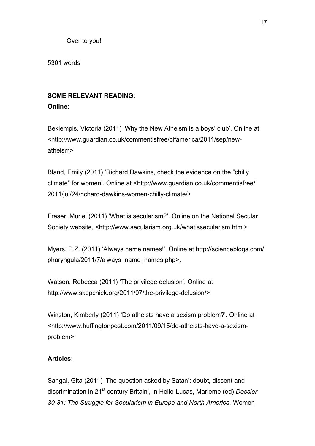Over to you!

5301 words

# **SOME RELEVANT READING:**

# **Online:**

Bekiempis, Victoria (2011) 'Why the New Atheism is a boys' club'. Online at <http://www.guardian.co.uk/commentisfree/cifamerica/2011/sep/newatheism>

Bland, Emily (2011) 'Richard Dawkins, check the evidence on the "chilly climate" for women'. Online at <http://www.guardian.co.uk/commentisfree/ 2011/jul/24/richard-dawkins-women-chilly-climate/>

Fraser, Muriel (2011) 'What is secularism?'. Online on the National Secular Society website, <http://www.secularism.org.uk/whatissecularism.html>

Myers, P.Z. (2011) 'Always name names!'. Online at http://scienceblogs.com/ pharyngula/2011/7/always\_name\_names.php>.

Watson, Rebecca (2011) 'The privilege delusion'. Online at http://www.skepchick.org/2011/07/the-privilege-delusion/>

Winston, Kimberly (2011) 'Do atheists have a sexism problem?'. Online at <http://www.huffingtonpost.com/2011/09/15/do-atheists-have-a-sexismproblem>

# **Articles:**

Sahgal, Gita (2011) 'The question asked by Satan': doubt, dissent and discrimination in 21st century Britain', in Helie-Lucas, Marieme (ed) *Dossier 30-31: The Struggle for Secularism in Europe and North America.* Women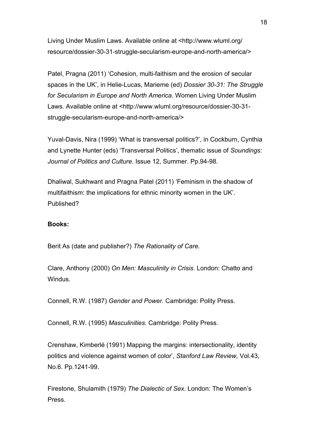Living Under Muslim Laws. Available online at <http://www.wluml.org/ resource/dossier-30-31-struggle-secularism-europe-and-north-america/>

Patel, Pragna (2011) 'Cohesion, multi-faithism and the erosion of secular spaces in the UK', in Helie-Lucas, Marieme (ed) *Dossier 30-31: The Struggle for Secularism in Europe and North America.* Women Living Under Muslim Laws. Available online at <http://www.wluml.org/resource/dossier-30-31 struggle-secularism-europe-and-north-america/>

Yuval-Davis, Nira (1999) 'What is transversal politics?', in Cockburn, Cynthia and Lynette Hunter (eds) 'Transversal Politics', thematic issue of *Soundings: Journal of Politics and Culture*. Issue 12, Summer. Pp.94-98.

Dhaliwal, Sukhwant and Pragna Patel (2011) 'Feminism in the shadow of multifaithism: the implications for ethnic minority women in the UK'. Published?

## **Books:**

Berit As (date and publisher?) *The Rationality of Care.* 

Clare, Anthony (2000) *On Men: Masculinity in Crisis*. London: Chatto and Windus.

Connell, R.W. (1987) *Gender and Power.* Cambridge: Polity Press.

Connell, R.W. (1995) *Masculinities.* Cambridge: Polity Press.

Crenshaw, Kimberlé (1991) Mapping the margins: intersectionality, identity politics and violence against women of color', *Stanford Law Review,* Vol.43, No.6. Pp.1241-99.

Firestone, Shulamith (1979) *The Dialectic of Sex*. London: The Women's Press.